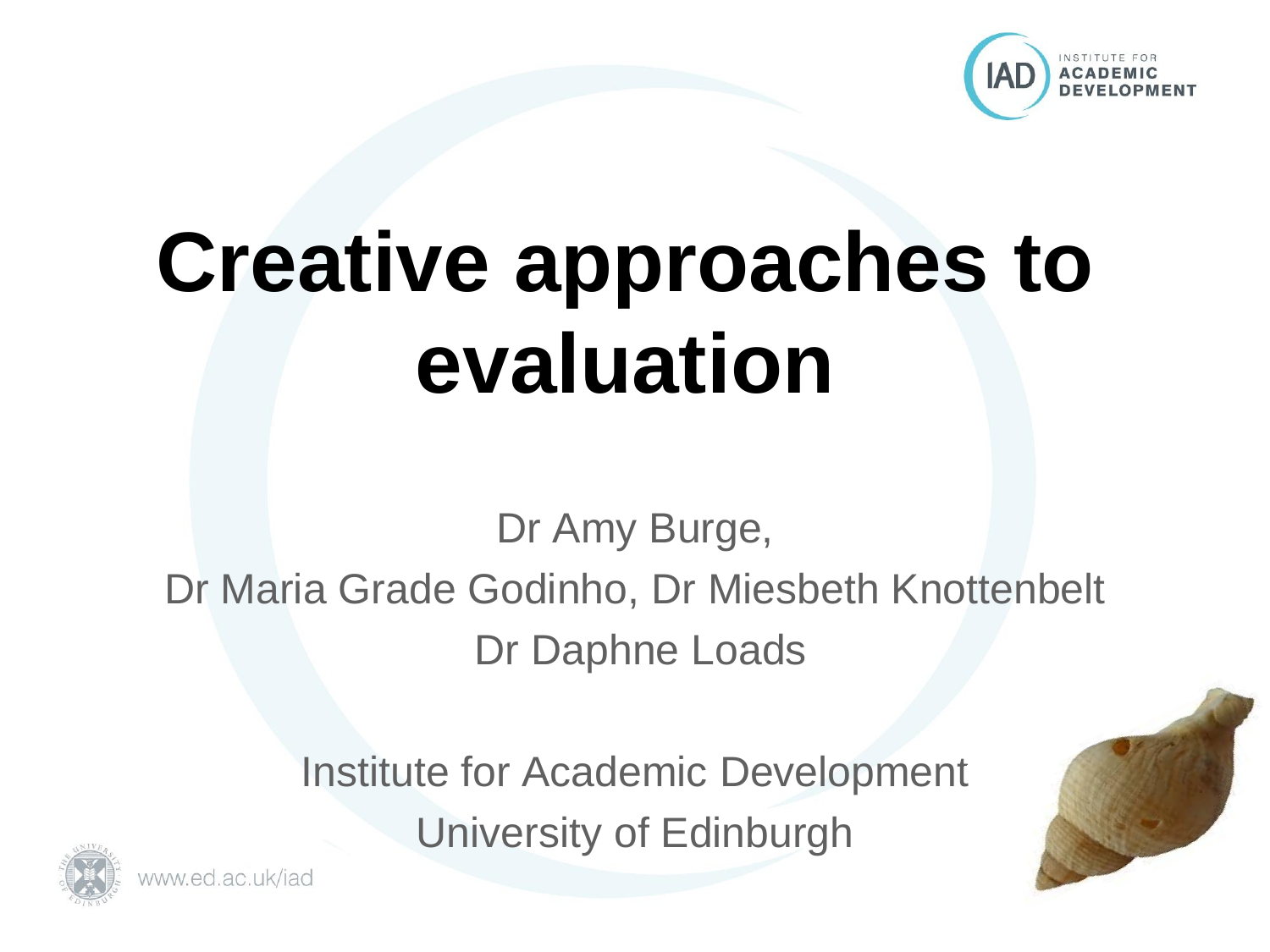

# **Creative approaches to evaluation**

Dr Amy Burge, Dr Maria Grade Godinho, Dr Miesbeth Knottenbelt Dr Daphne Loads

> Institute for Academic Development University of Edinburgh



www.ed.ac.uk/jad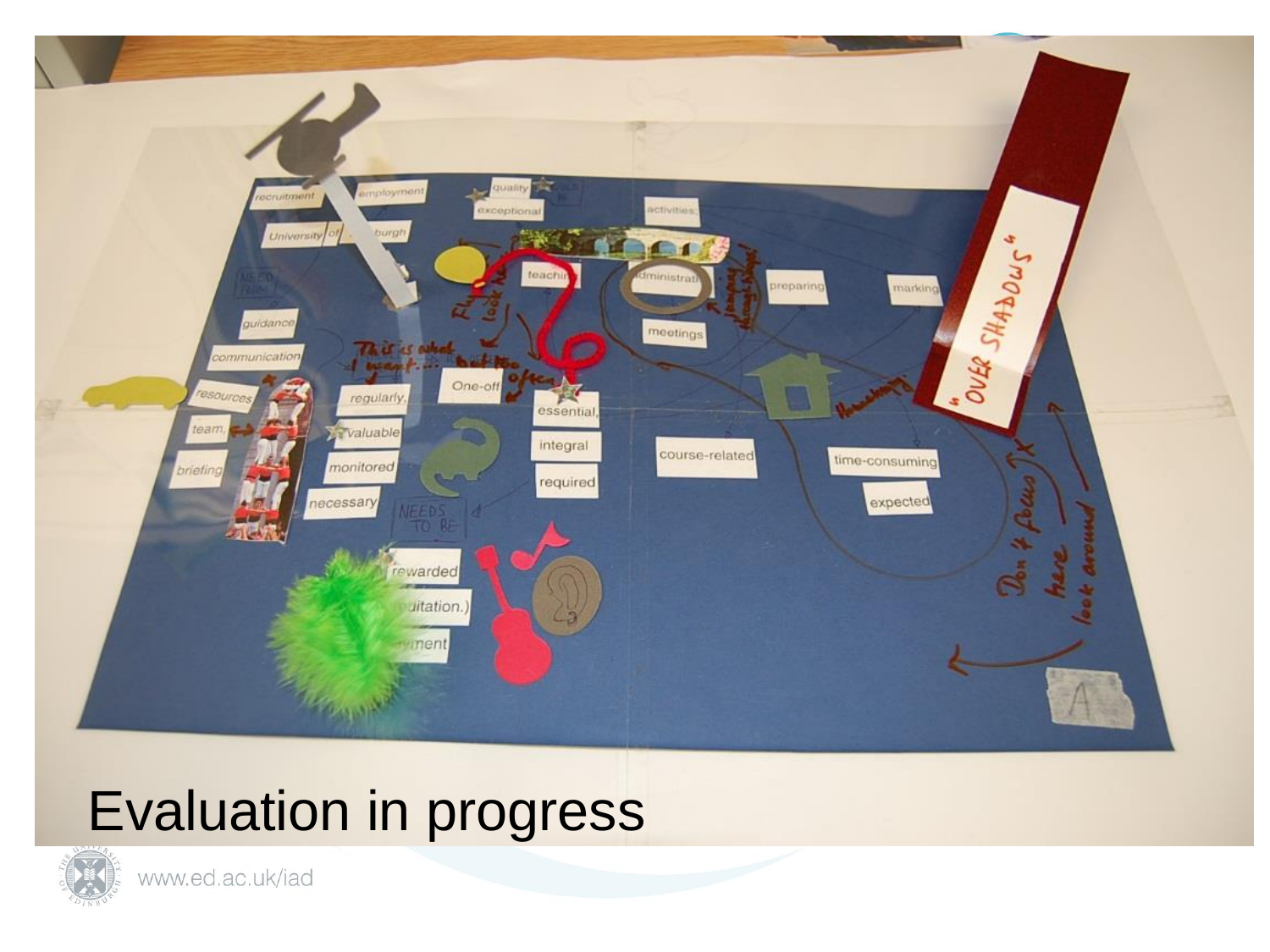

#### Evaluation in progress

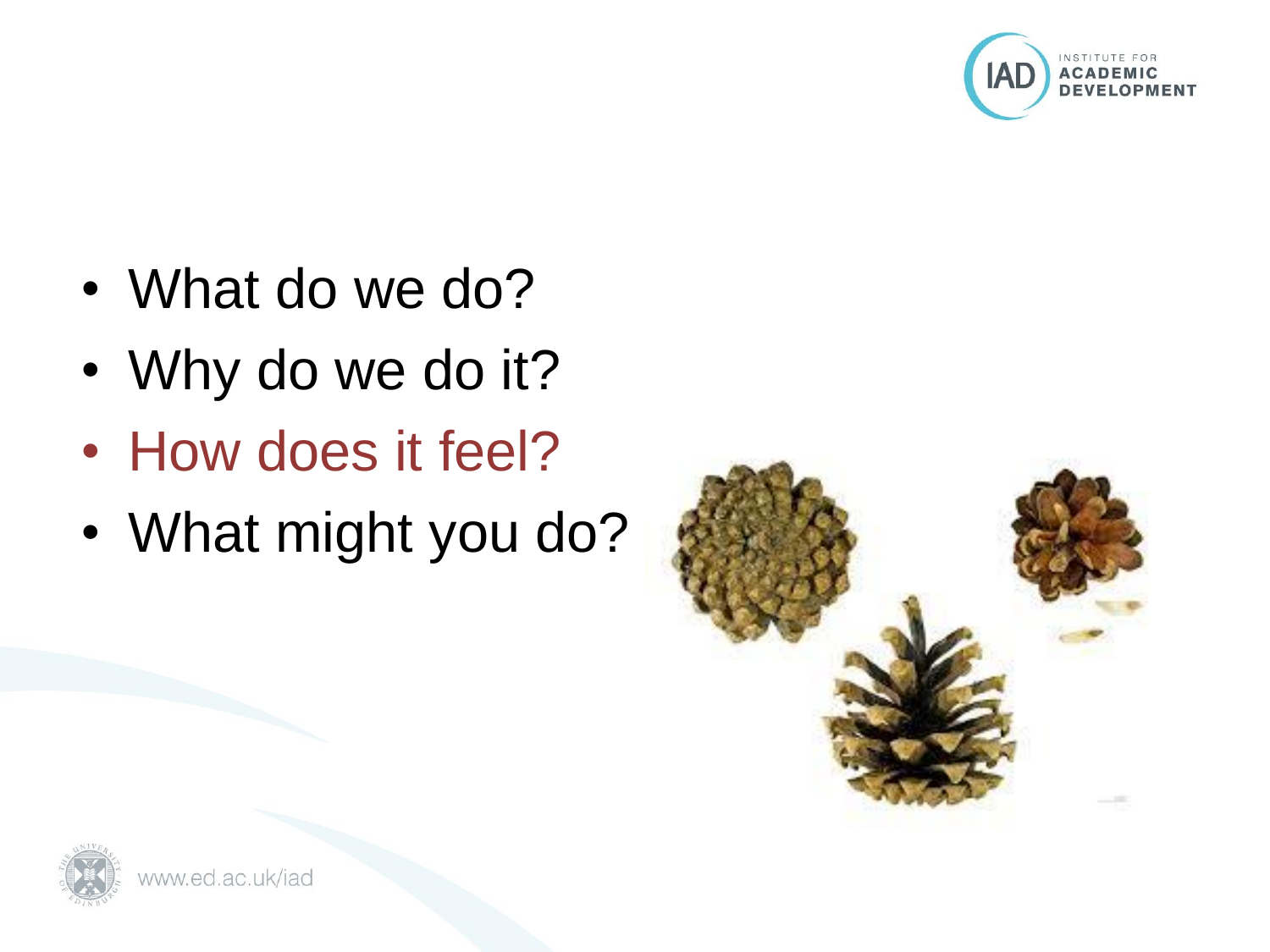

- What do we do?
- Why do we do it?
- How does it feel?
- What might you do?



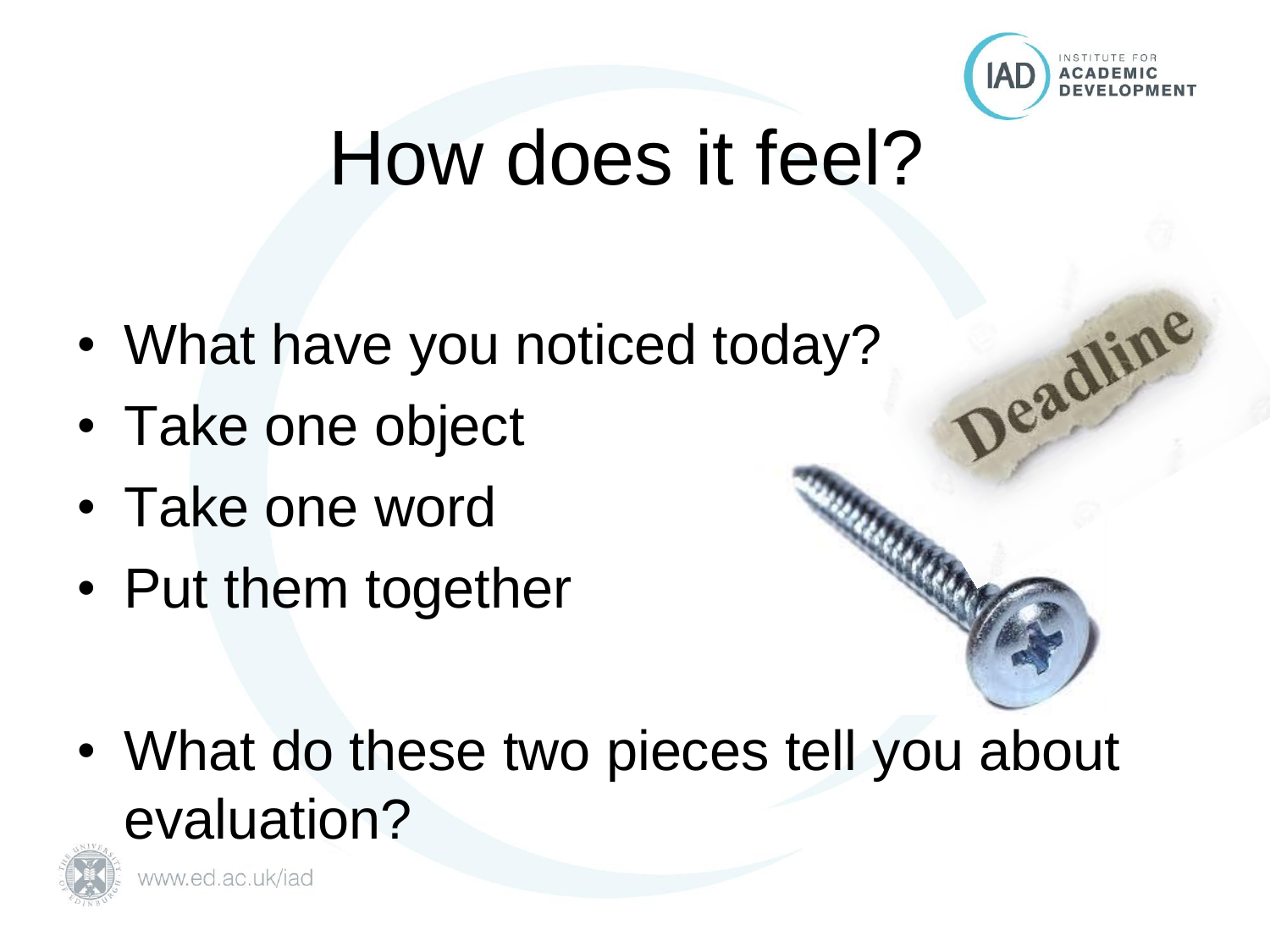

Deadline

### How does it feel?

- What have you noticed today?
- Take one object
- Take one word
- Put them together

• What do these two pieces tell you about evaluation?

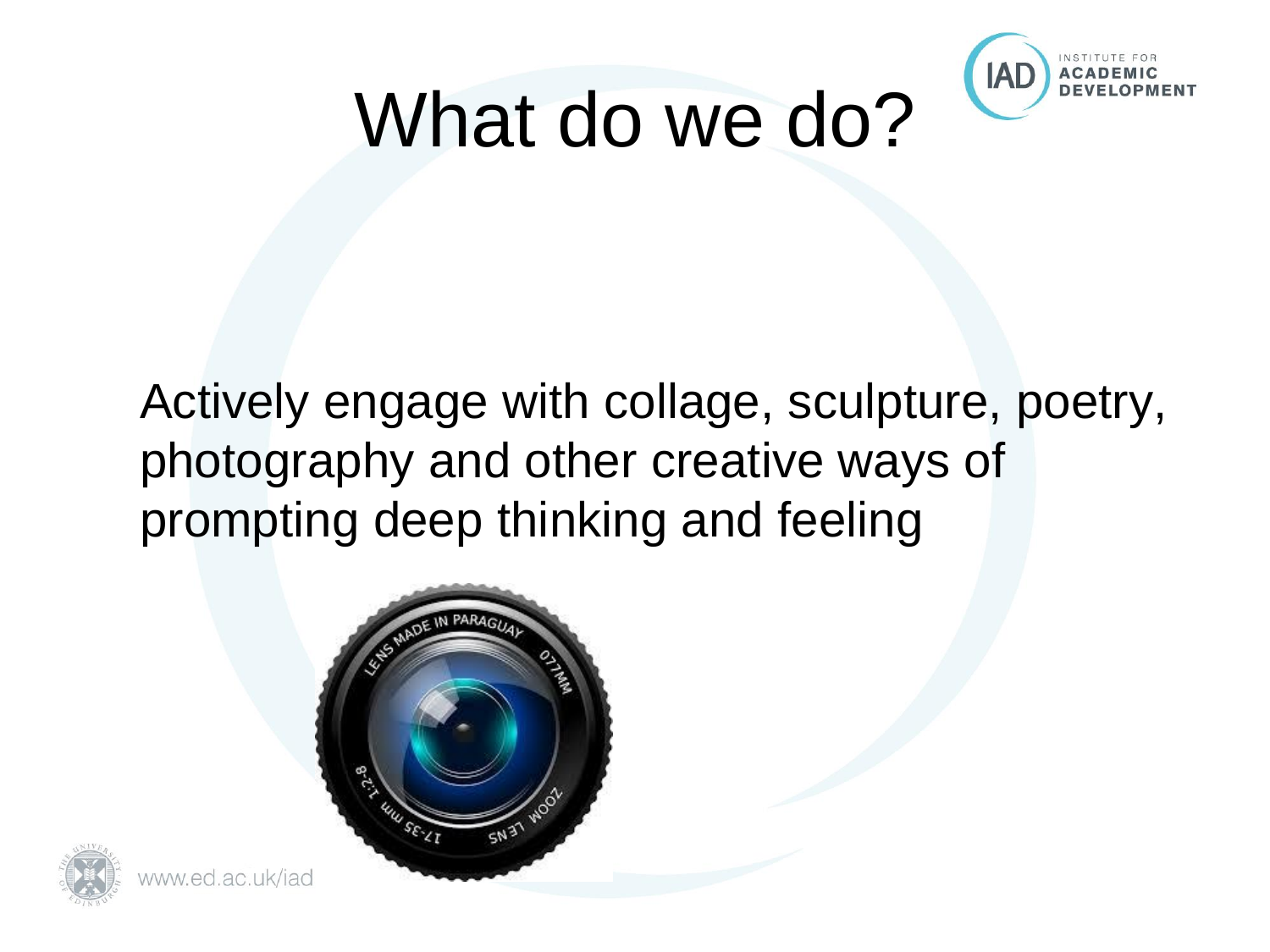

# What do we do?

Actively engage with collage, sculpture, poetry, photography and other creative ways of prompting deep thinking and feeling





www.ed.ac.uk/iad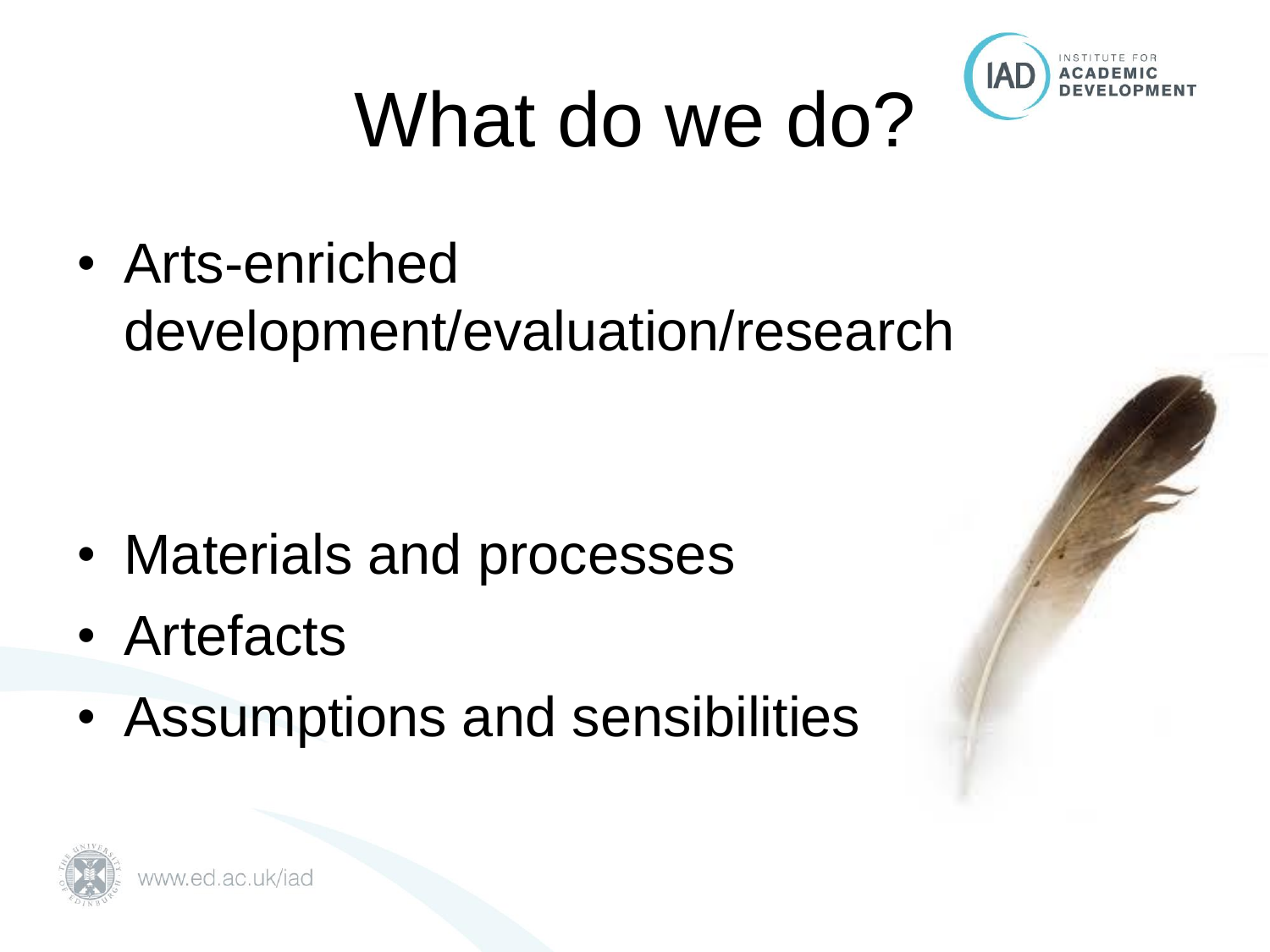

# What do we do?

• Arts-enriched development/evaluation/research

- Materials and processes
- Artefacts
- Assumptions and sensibilities



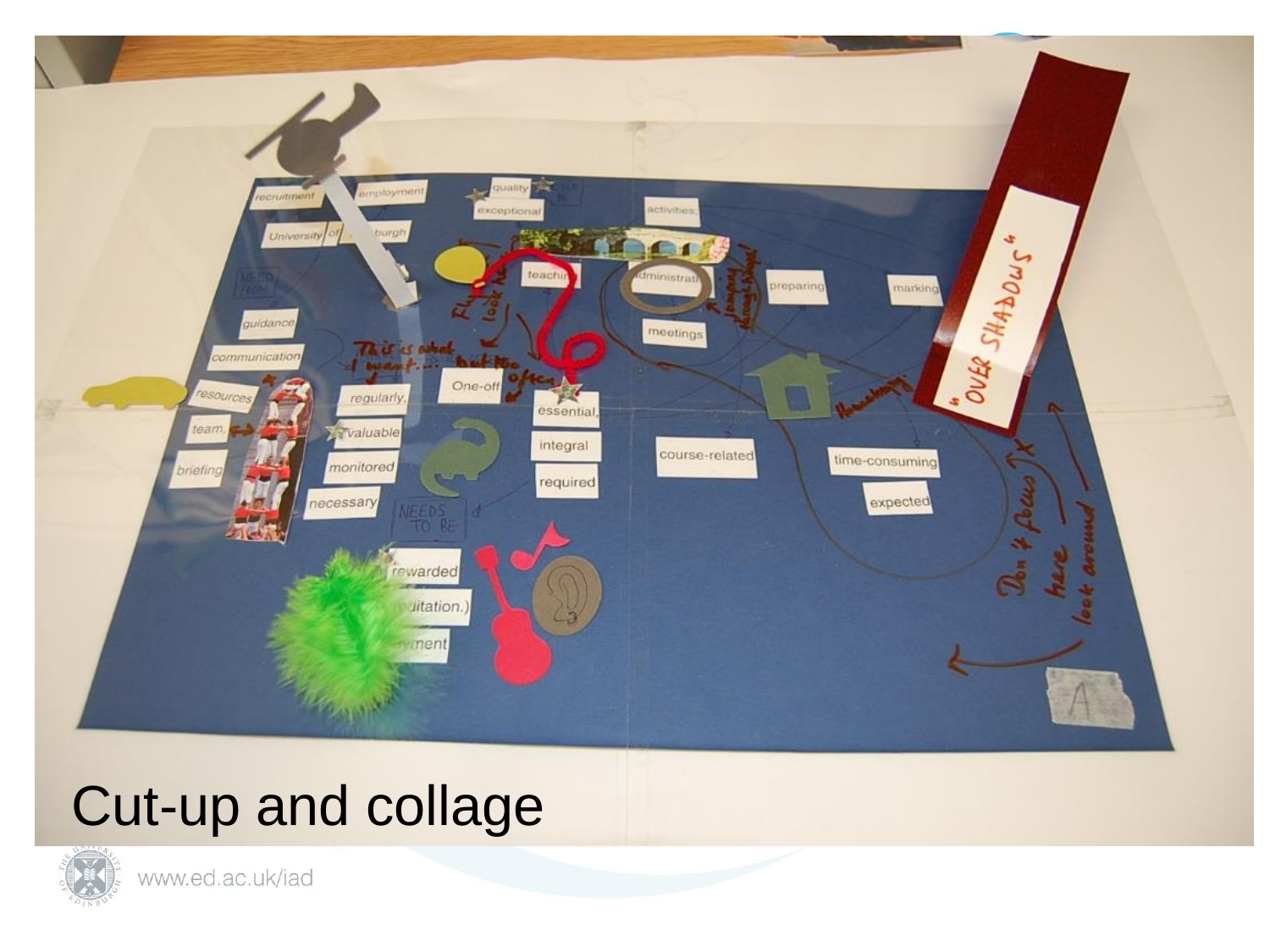

#### Cut-up and collage

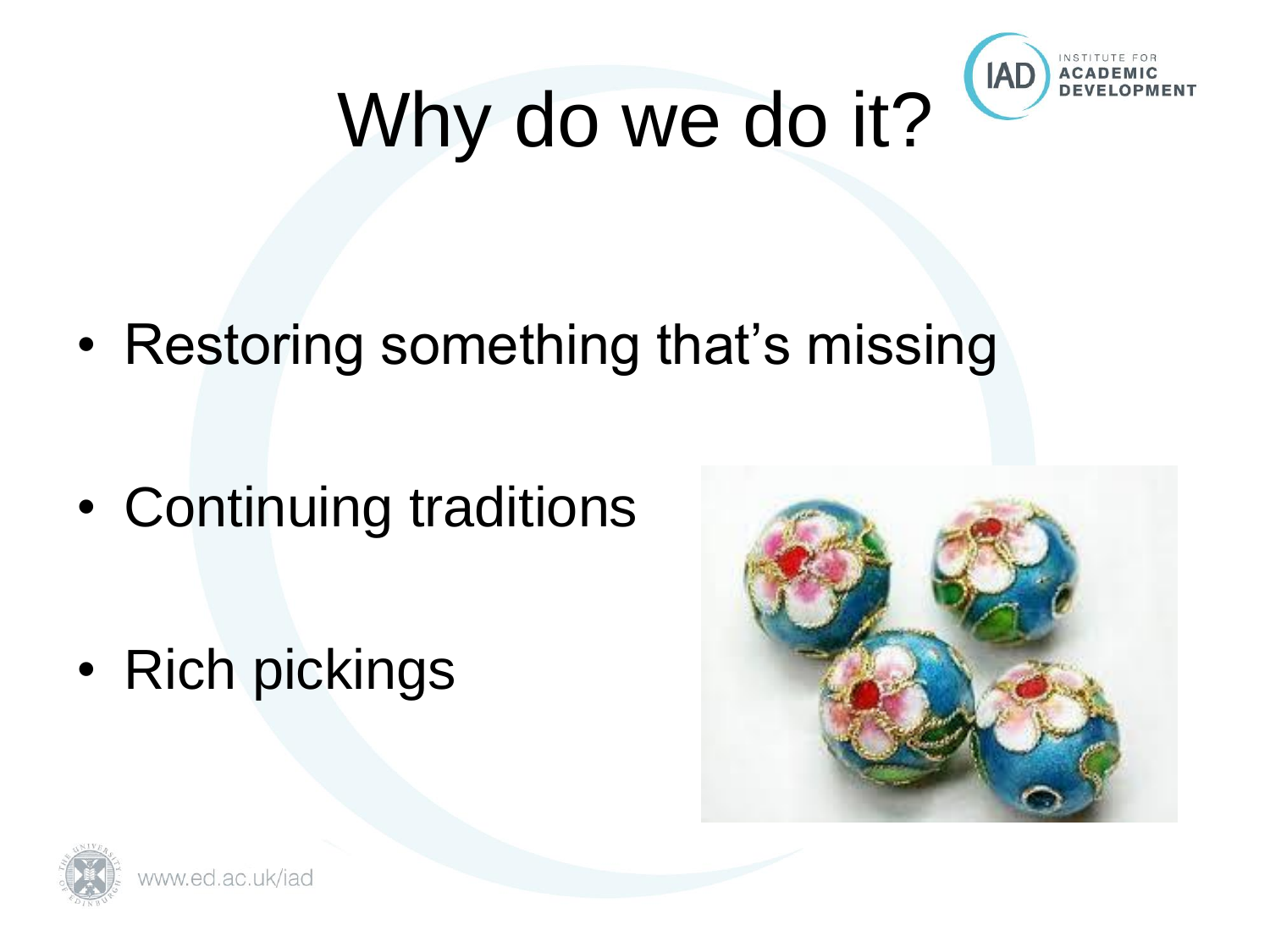

# Why do we do it?

• Restoring something that's missing

- Continuing traditions
- Rich pickings



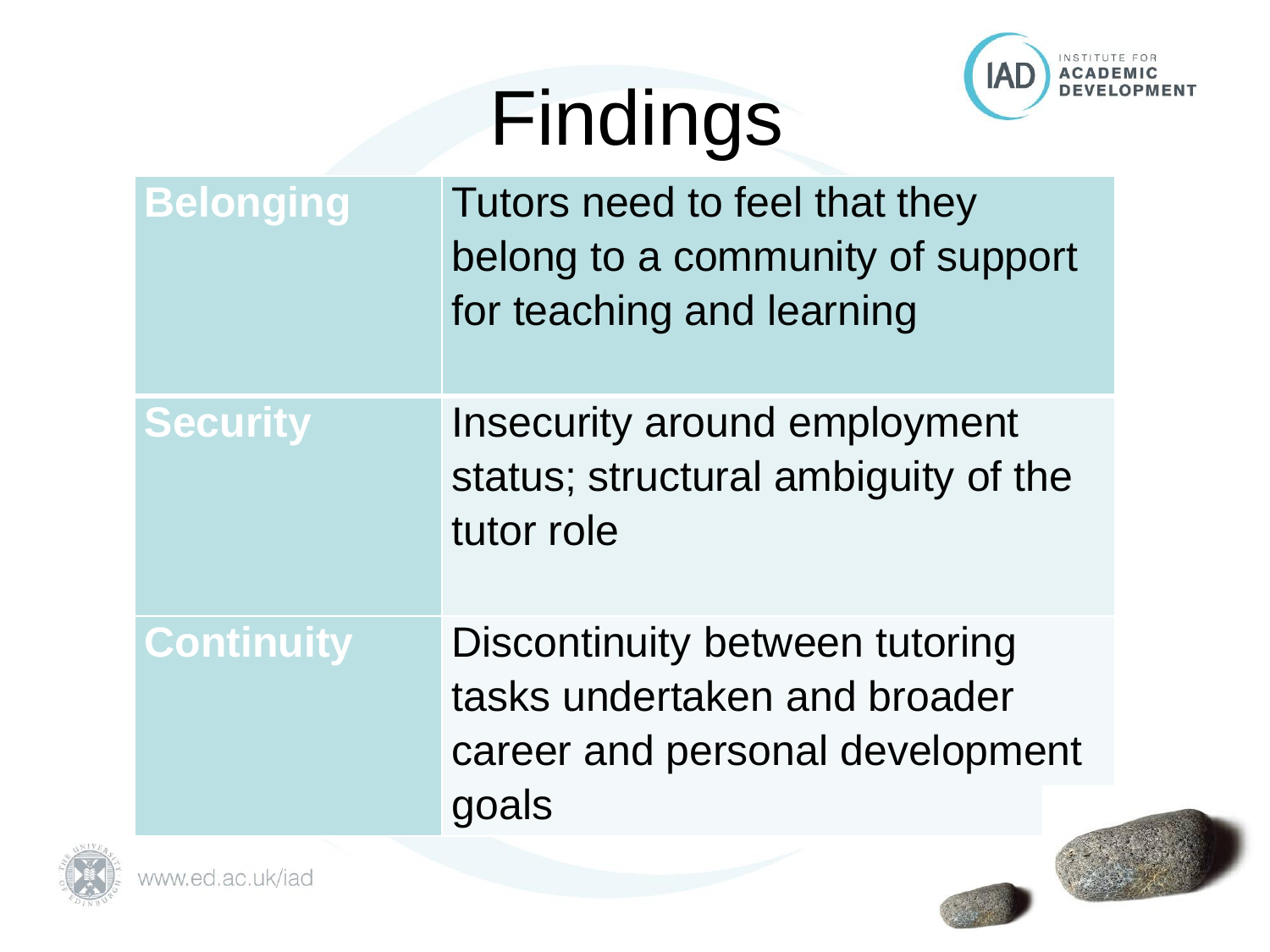# Findings



| <b>Belonging</b> | Tutors need to feel that they    |
|------------------|----------------------------------|
|                  | belong to a community of support |
|                  | for teaching and learning        |
|                  |                                  |

**Security Insecurity around employment** status; structural ambiguity of the tutor role

**Continuity Discontinuity between tutoring** tasks undertaken and broader career and personal development goals





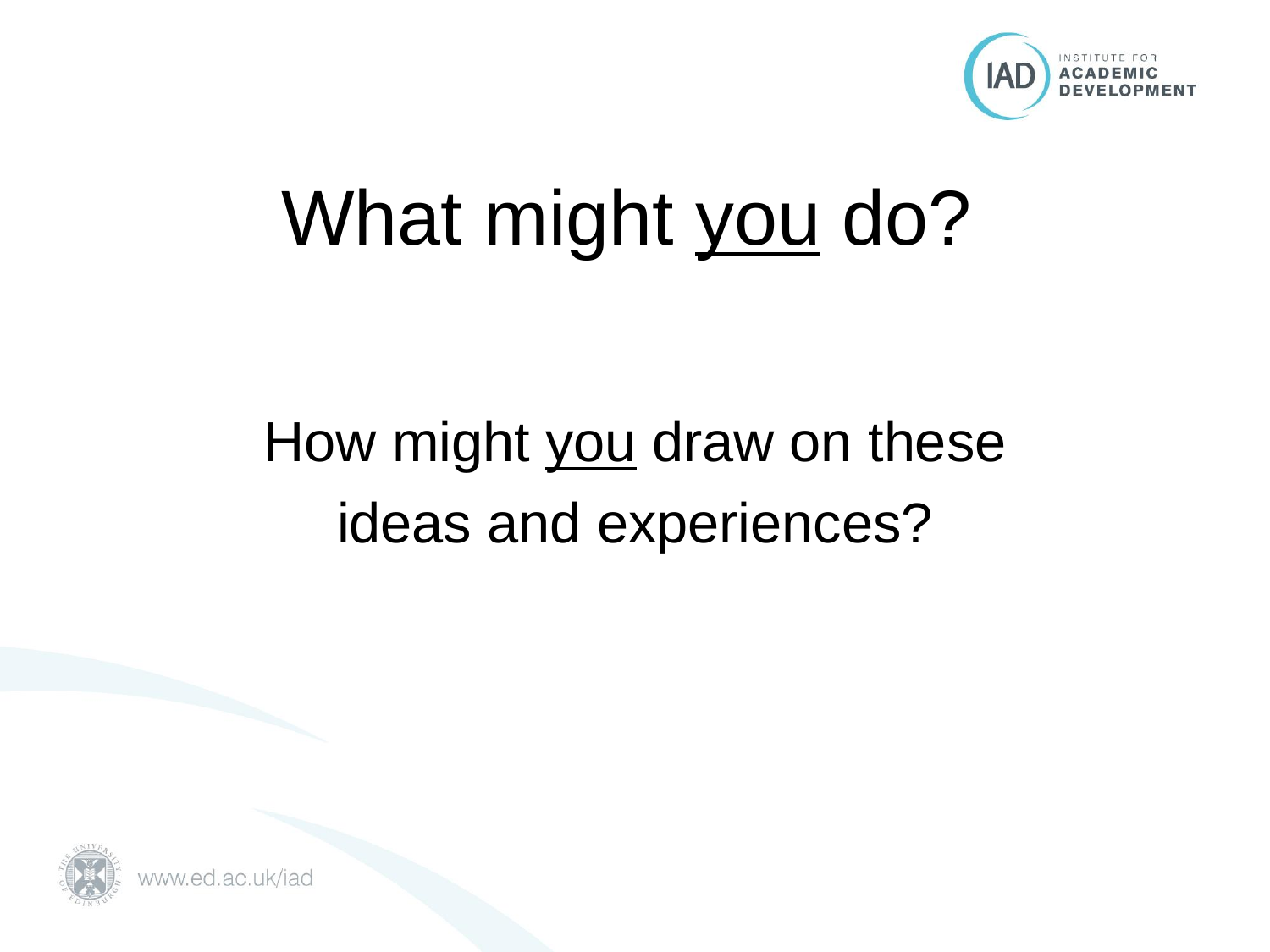

### What might you do?

#### How might you draw on these ideas and experiences?



www.ed.ac.uk/iad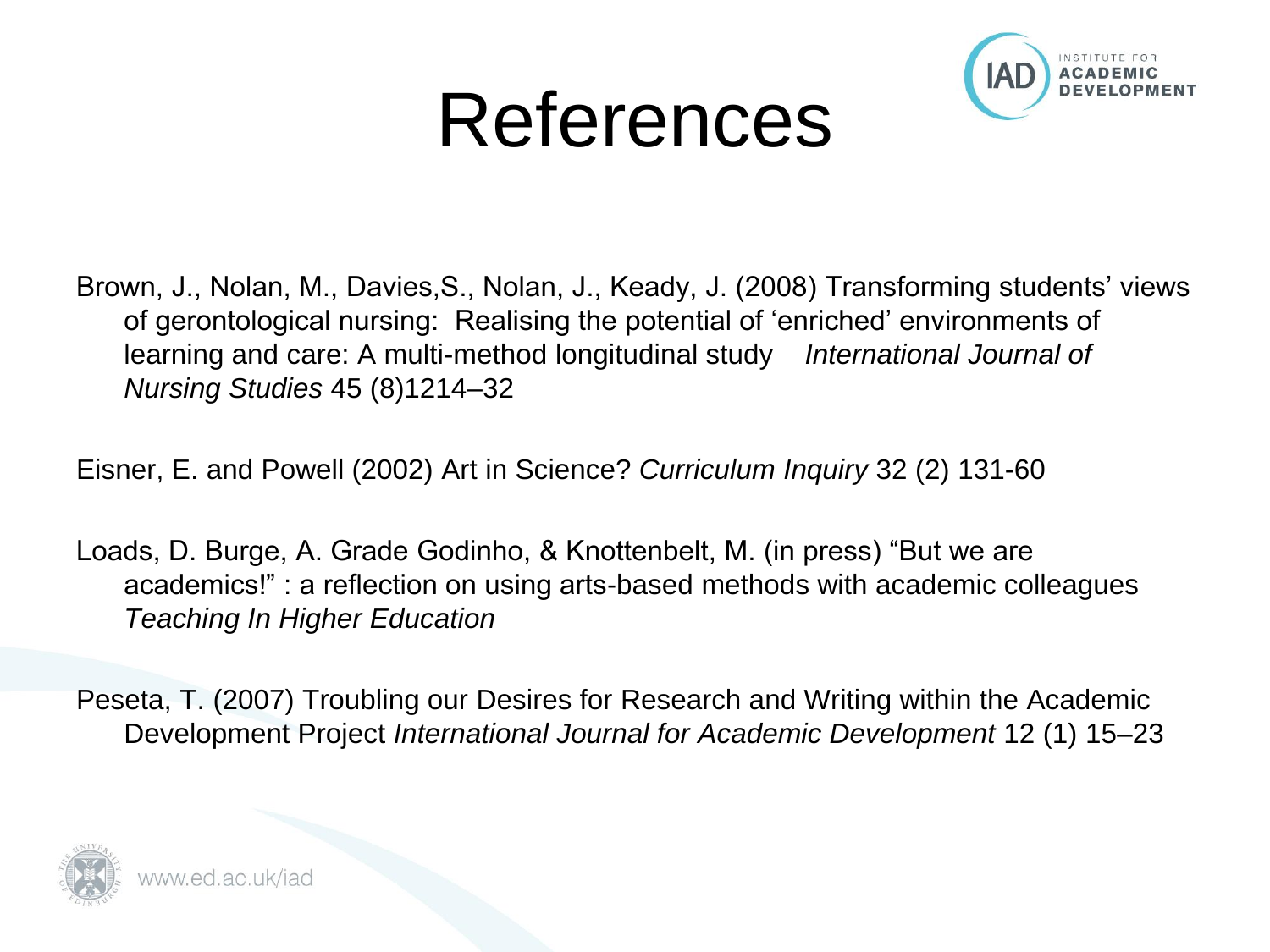## References



- Brown, J., Nolan, M., Davies,S., Nolan, J., Keady, J. (2008) Transforming students' views of gerontological nursing: Realising the potential of 'enriched' environments of learning and care: A multi-method longitudinal study *International Journal of Nursing Studies* 45 (8)1214–32
- Eisner, E. and Powell (2002) Art in Science? *Curriculum Inquiry* 32 (2) 131-60
- Loads, D. Burge, A. Grade Godinho, & Knottenbelt, M. (in press) "But we are academics!" : a reflection on using arts-based methods with academic colleagues *Teaching In Higher Education*
- Peseta, T. (2007) Troubling our Desires for Research and Writing within the Academic Development Project *International Journal for Academic Development* 12 (1) 15–23